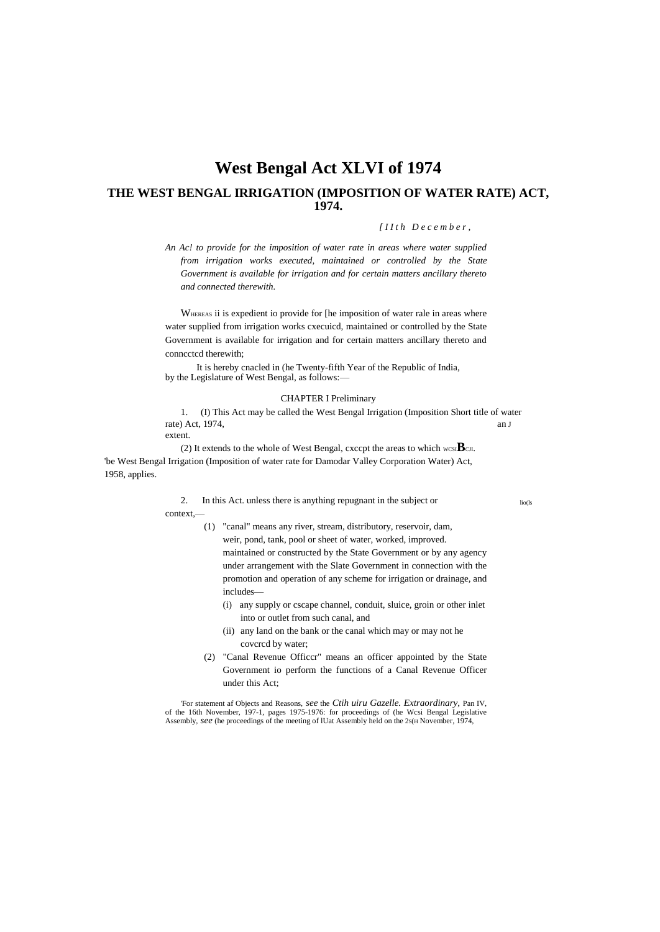# **West Bengal Act XLVI of 1974 THE WEST BENGAL IRRIGATION (IMPOSITION OF WATER RATE) ACT, 1974.**

## *[ I I t h D e c e m b e r ,*

*An Ac! to provide for the imposition of water rate in areas where water supplied from irrigation works executed, maintained or controlled by the State Government is available for irrigation and for certain matters ancillary thereto and connected therewith.*

WHEREAS ii is expedient io provide for [he imposition of water rale in areas where water supplied from irrigation works cxecuicd, maintained or controlled by the State Government is available for irrigation and for certain matters ancillary thereto and conncctcd therewith;

It is hereby cnacled in (he Twenty-fifth Year of the Republic of India, by the Legislature of West Bengal, as follows:—

## CHAPTER I Preliminary

1. (I) This Act may be called the West Bengal Irrigation (Imposition Short title of water rate) Act, 1974, an J

extent.

(2) It extends to the whole of West Bengal, cxccpt the areas to which  $wcsI\mathbf{B}$ CJI. 'be West Bengal Irrigation (Imposition of water rate for Damodar Valley Corporation Water) Act, 1958, applies.

includes—

2. In this Act. unless there is anything repugnant in the subject or lio(ls context,—

> (1) "canal" means any river, stream, distributory, reservoir, dam, weir, pond, tank, pool or sheet of water, worked, improved. maintained or constructed by the State Government or by any agency under arrangement with the Slate Government in connection with the promotion and operation of any scheme for irrigation or drainage, and

- (i) any supply or cscape channel, conduit, sluice, groin or other inlet into or outlet from such canal, and
- (ii) any land on the bank or the canal which may or may not he covcrcd by water;
- (2) "Canal Revenue Officcr" means an officer appointed by the State Government io perform the functions of a Canal Revenue Officer under this Act;

'For statement af Objects and Reasons, *see* the *Ctih uiru Gazelle. Extraordinary,* Pan IV, of the 16th November, 197-1, pages 1975-1976: for proceedings of (he Wcsi Bengal Legislative Assembly, *see* (he proceedings of the meeting of IUat Assembly held on the 2s(H November, 1974,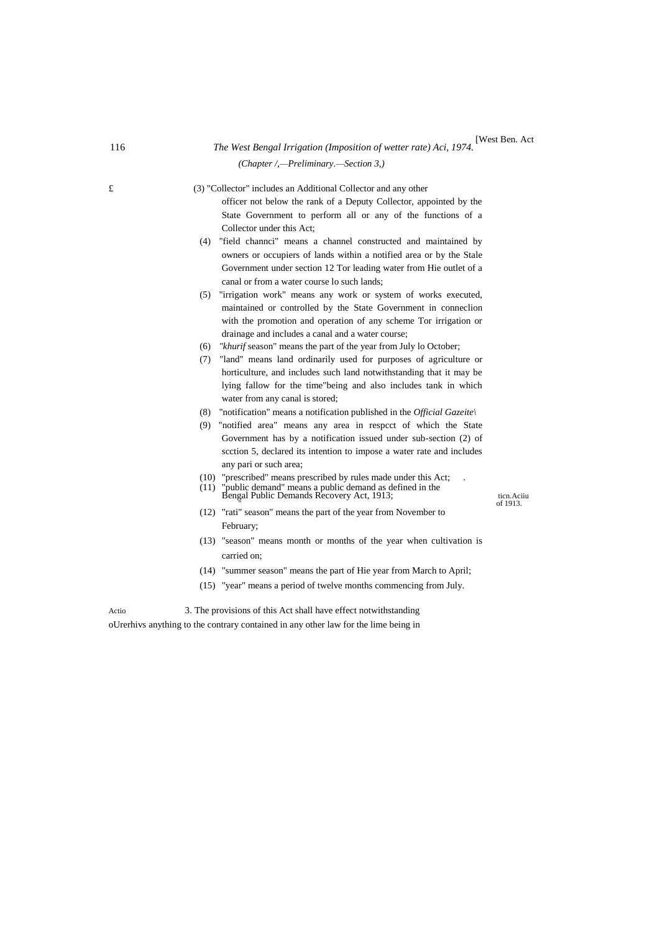## 116 *The West Bengal Irrigation (Imposition of wetter rate) Aci, 1974.* [West Ben. Act *(Chapter /,—Preliminary.—Section 3,)*

£ (3) "Collector" includes an Additional Collector and any other officer not below the rank of a Deputy Collector, appointed by the State Government to perform all or any of the functions of a Collector under this Act;

- (4) "field channci" means a channel constructed and maintained by owners or occupiers of lands within a notified area or by the Stale Government under section 12 Tor leading water from Hie outlet of a canal or from a water course lo such lands;
- (5) "irrigation work" means any work or system of works executed, maintained or controlled by the State Government in conneclion with the promotion and operation of any scheme Tor irrigation or drainage and includes a canal and a water course;
- (6) *"khurif* season" means the part of the year from July lo October;
- (7) "land" means land ordinarily used for purposes of agriculture or horticulture, and includes such land notwithstanding that it may be lying fallow for the time"being and also includes tank in which water from any canal is stored;
- (8) "notification" means a notification published in the *Official Gazeite\*
- (9) "notified area" means any area in respcct of which the State Government has by a notification issued under sub-section (2) of scction 5, declared its intention to impose a water rate and includes any pari or such area;
- (10) "prescribed" means prescribed by rules made under this Act; .
- (11) "public demand" means a public demand as defined in the Bengal Public Demands Recovery Act, 1913; ticn.Aciiu " of 1913.

- (12) "rati" season" means the part of the year from November to February;
- (13) "season" means month or months of the year when cultivation is carried on;
- (14) "summer season" means the part of Hie year from March to April;
- (15) "year" means a period of twelve months commencing from July.

Actio 3. The provisions of this Act shall have effect notwithstanding oUrerhivs anything to the contrary contained in any other law for the lime being in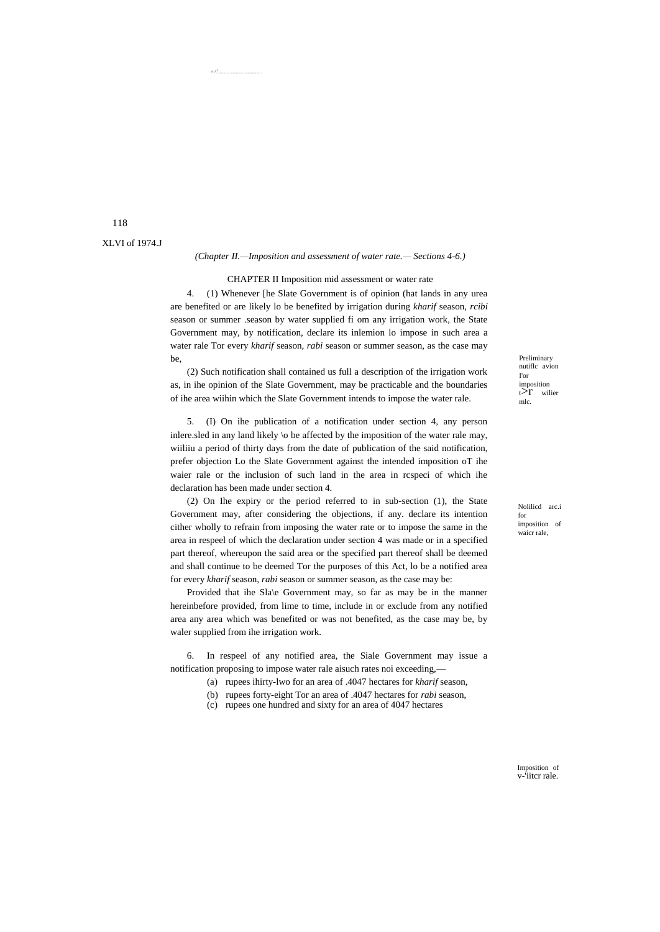#### *(Chapter II.—Imposition and assessment of water rate.— Sections 4-6.)*

CHAPTER II Imposition mid assessment or water rate

4. (1) Whenever [he Slate Government is of opinion (hat lands in any urea are benefited or are likely lo be benefited by irrigation during *kharif* season, *rcibi* season or summer .season by water supplied fi om any irrigation work, the State Government may, by notification, declare its inlemion lo impose in such area a water rale Tor every *kharif* season, *rabi* season or summer season, as the case may be,

(2) Such notification shall contained us full a description of the irrigation work as, in ihe opinion of the Slate Government, may be practicable and the boundaries of ihe area wiihin which the Slate Government intends to impose the water rale.

5. (I) On ihe publication of a notification under section 4, any person inlere.sled in any land likely \o be affected by the imposition of the water rale may, wiiliiu a period of thirty days from the date of publication of the said notification, prefer objection Lo the Slate Government against the intended imposition oT ihe waier rale or the inclusion of such land in the area in rcspeci of which ihe declaration has been made under section 4.

(2) On Ihe expiry or the period referred to in sub-section (1), the State Government may, after considering the objections, if any. declare its intention cither wholly to refrain from imposing the water rate or to impose the same in the area in respeel of which the declaration under section 4 was made or in a specified part thereof, whereupon the said area or the specified part thereof shall be deemed and shall continue to be deemed Tor the purposes of this Act, lo be a notified area for every *kharif* season, *rabi* season or summer season, as the case may be:

Provided that ihe Sla\e Government may, so far as may be in the manner hereinbefore provided, from lime to time, include in or exclude from any notified area any area which was benefited or was not benefited, as the case may be, by waler supplied from ihe irrigation work.

6. In respeel of any notified area, the Siale Government may issue a notification proposing to impose water rale aisuch rates noi exceeding,—

- (a) rupees ihirty-lwo for an area of .4047 hectares for *kharif* season,
- (b) rupees forty-eight Tor an area of .4047 hectares for *rabi* season,
- (c) rupees one hundred and sixty for an area of 4047 hectares

Preliminary nutiflc avion I'or imposition<br>t $\geq r$  wilier mlc.

Nolilicd arc.i for imposition of waicr rale,

118 XLVI of 1974.J  $^{\wedge}$   $^{\wedge}$ 

........................................

Imposition of v-'iitcr rale.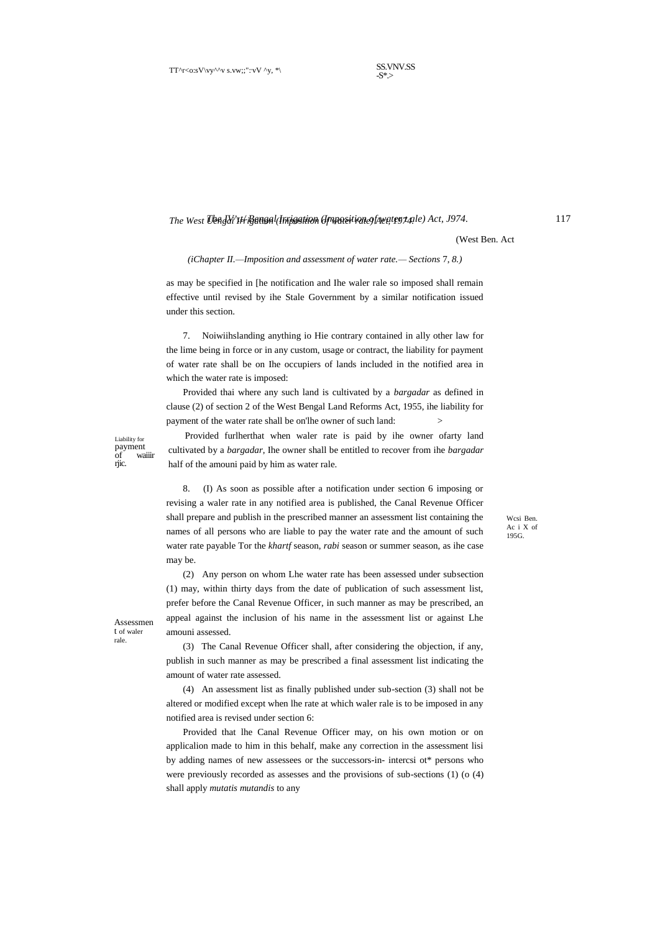SS.VNV.SS  $-S^*$ 

## *The IV^.t/ Bengal Irrigation (Imposition of water t ale) Act, J974.* 117 *The West Uengai Irrigation (Imposition of water rate) Act, 1974.*

(West Ben. Act

#### *(iChapter II.—Imposition and assessment of water rate.— Sections* 7, *8.)*

as may be specified in [he notification and Ihe waler rale so imposed shall remain effective until revised by ihe Stale Government by a similar notification issued under this section.

7. Noiwiihslanding anything io Hie contrary contained in ally other law for the lime being in force or in any custom, usage or contract, the liability for payment of water rate shall be on Ihe occupiers of lands included in the notified area in which the water rate is imposed:

Provided thai where any such land is cultivated by a *bargadar* as defined in clause (2) of section 2 of the West Bengal Land Reforms Act, 1955, ihe liability for payment of the water rate shall be on'lhe owner of such land:

Provided furlherthat when waler rate is paid by ihe owner ofarty land cultivated by a *bargadar*, Ihe owner shall be entitled to recover from ihe *bargadar* half of the amouni paid by him as water rale.

8. (I) As soon as possible after a notification under section 6 imposing or revising a waler rate in any notified area is published, the Canal Revenue Officer shall prepare and publish in the prescribed manner an assessment list containing the names of all persons who are liable to pay the water rate and the amount of such water rate payable Tor the *khartf* season, *rabi* season or summer season, as ihe case may be.

Wcsi Ben. Ac i X of 195G.

(2) Any person on whom Lhe water rate has been assessed under subsection (1) may, within thirty days from the date of publication of such assessment list, prefer before the Canal Revenue Officer, in such manner as may be prescribed, an appeal against the inclusion of his name in the assessment list or against Lhe amouni assessed.

(3) The Canal Revenue Officer shall, after considering the objection, if any, publish in such manner as may be prescribed a final assessment list indicating the amount of water rate assessed.

(4) An assessment list as finally published under sub-section (3) shall not be altered or modified except when lhe rate at which waler rale is to be imposed in any notified area is revised under section 6:

Provided that lhe Canal Revenue Officer may, on his own motion or on applicalion made to him in this behalf, make any correction in the assessment lisi by adding names of new assessees or the successors-in- intercsi ot\* persons who were previously recorded as assesses and the provisions of sub-sections (1) (o (4) shall apply *mutatis mutandis* to any

Assessmen

t of waler rale.

Liability for payment<br>of wa waiiir

riic.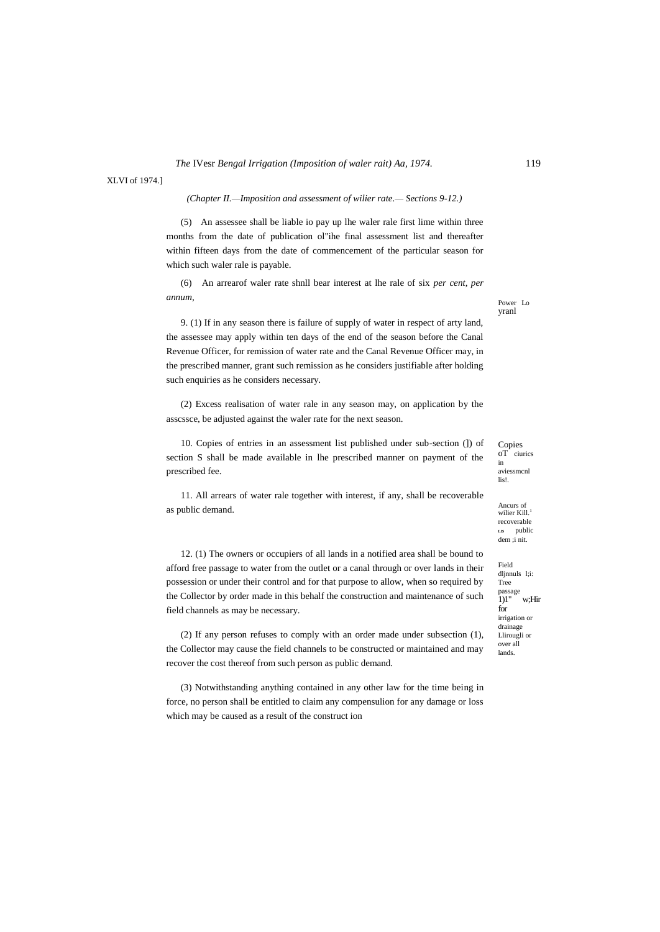XLVI of 1974.]

## *(Chapter II.—Imposition and assessment of wilier rate.— Sections 9-12.)*

(5) An assessee shall be liable io pay up lhe waler rale first lime within three months from the date of publication ol"ihe final assessment list and thereafter within fifteen days from the date of commencement of the particular season for which such waler rale is payable.

(6) An arrearof waler rate shnll bear interest at lhe rale of six *per cent, per annum,*

9. (1) If in any season there is failure of supply of water in respect of arty land, the assessee may apply within ten days of the end of the season before the Canal Revenue Officer, for remission of water rate and the Canal Revenue Officer may, in the prescribed manner, grant such remission as he considers justifiable after holding such enquiries as he considers necessary.

(2) Excess realisation of water rale in any season may, on application by the asscssce, be adjusted against the waler rate for the next season.

10. Copies of entries in an assessment list published under sub-section (]) of section S shall be made available in lhe prescribed manner on payment of the prescribed fee.

11. All arrears of water rale together with interest, if any, shall be recoverable as public demand.

12. (1) The owners or occupiers of all lands in a notified area shall be bound to afford free passage to water from the outlet or a canal through or over lands in their possession or under their control and for that purpose to allow, when so required by the Collector by order made in this behalf the construction and maintenance of such field channels as may be necessary.

(2) If any person refuses to comply with an order made under subsection (1), the Collector may cause the field channels to be constructed or maintained and may recover the cost thereof from such person as public demand.

(3) Notwithstanding anything contained in any other law for the time being in force, no person shall be entitled to claim any compensulion for any damage or loss which may be caused as a result of the construct ion

Power Lo yranl

Copies<br>oT ciu  $\frac{1}{\pi}$  ciurics in aviessmcnl lis!.

Ancurs of wilier Kill.<sup>1</sup> recoverable **LIS** public dem ;i nit.

Field dljnnuls l;i: Tree passage 1)1" w;Hir for irrigation or drainage Llirougli or over all lands.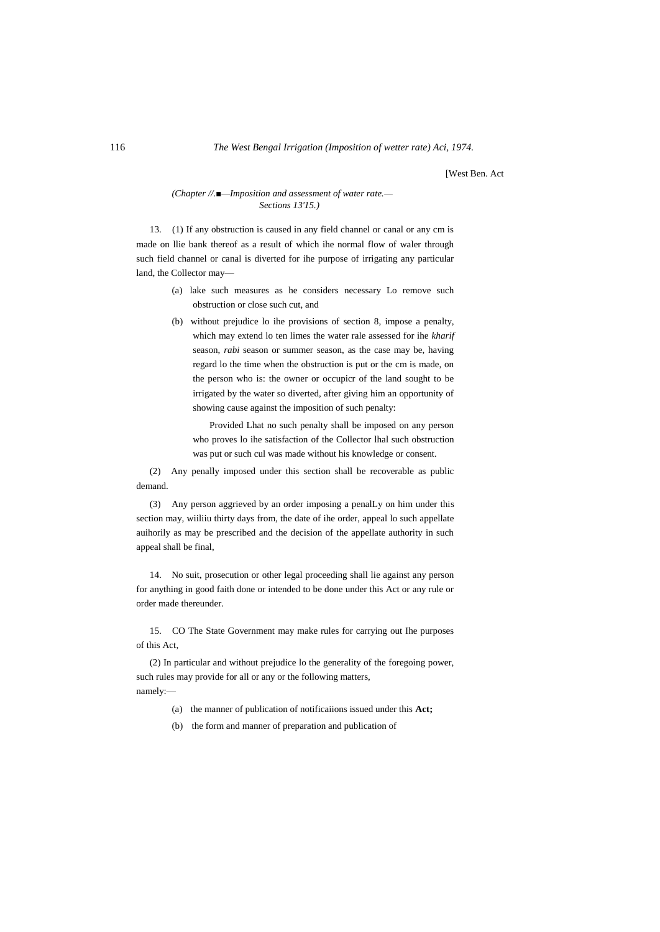[West Ben. Act

## *(Chapter //.■—Imposition and assessment of water rate.— Sections 13'15.)*

13. (1) If any obstruction is caused in any field channel or canal or any cm is made on llie bank thereof as a result of which ihe normal flow of waler through such field channel or canal is diverted for ihe purpose of irrigating any particular land, the Collector may—

- (a) lake such measures as he considers necessary Lo remove such obstruction or close such cut, and
- (b) without prejudice lo ihe provisions of section 8, impose a penalty, which may extend lo ten limes the water rale assessed for ihe *kharif* season, *rabi* season or summer season, as the case may be, having regard lo the time when the obstruction is put or the cm is made, on the person who is: the owner or occupicr of the land sought to be irrigated by the water so diverted, after giving him an opportunity of showing cause against the imposition of such penalty:

Provided Lhat no such penalty shall be imposed on any person who proves lo ihe satisfaction of the Collector lhal such obstruction was put or such cul was made without his knowledge or consent.

(2) Any penally imposed under this section shall be recoverable as public demand.

(3) Any person aggrieved by an order imposing a penalLy on him under this section may, wiiliiu thirty days from, the date of ihe order, appeal lo such appellate auihorily as may be prescribed and the decision of the appellate authority in such appeal shall be final,

14. No suit, prosecution or other legal proceeding shall lie against any person for anything in good faith done or intended to be done under this Act or any rule or order made thereunder.

15. CO The State Government may make rules for carrying out Ihe purposes of this Act,

(2) In particular and without prejudice lo the generality of the foregoing power, such rules may provide for all or any or the following matters, namely:—

- (a) the manner of publication of notificaiions issued under this **Act;**
- (b) the form and manner of preparation and publication of